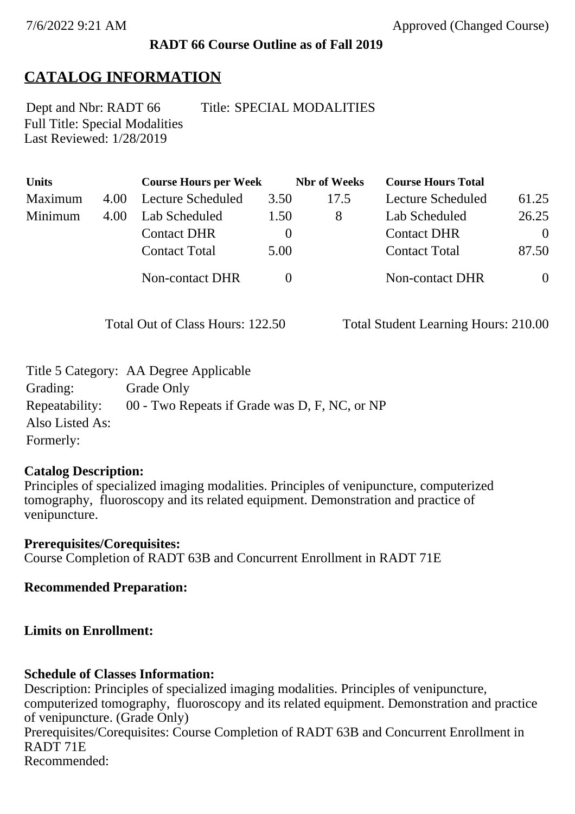## **RADT 66 Course Outline as of Fall 2019**

# **CATALOG INFORMATION**

Full Title: Special Modalities Last Reviewed: 1/28/2019 Dept and Nbr: RADT 66 Title: SPECIAL MODALITIES

| <b>Units</b> |      | <b>Course Hours per Week</b> |          | <b>Nbr</b> of Weeks | <b>Course Hours Total</b> |                |
|--------------|------|------------------------------|----------|---------------------|---------------------------|----------------|
| Maximum      | 4.00 | Lecture Scheduled            | 3.50     | 17.5                | Lecture Scheduled         | 61.25          |
| Minimum      | 4.00 | Lab Scheduled                | 1.50     | 8                   | Lab Scheduled             | 26.25          |
|              |      | <b>Contact DHR</b>           | $\theta$ |                     | <b>Contact DHR</b>        | $\theta$       |
|              |      | <b>Contact Total</b>         | 5.00     |                     | <b>Contact Total</b>      | 87.50          |
|              |      | Non-contact DHR              |          |                     | <b>Non-contact DHR</b>    | $\overline{0}$ |

Total Out of Class Hours: 122.50 Total Student Learning Hours: 210.00

| Title 5 Category: AA Degree Applicable        |
|-----------------------------------------------|
| Grade Only                                    |
| 00 - Two Repeats if Grade was D, F, NC, or NP |
|                                               |
|                                               |
|                                               |

## **Catalog Description:**

Principles of specialized imaging modalities. Principles of venipuncture, computerized tomography, fluoroscopy and its related equipment. Demonstration and practice of venipuncture.

**Prerequisites/Corequisites:** Course Completion of RADT 63B and Concurrent Enrollment in RADT 71E

**Recommended Preparation:**

## **Limits on Enrollment:**

## **Schedule of Classes Information:**

Description: Principles of specialized imaging modalities. Principles of venipuncture, computerized tomography, fluoroscopy and its related equipment. Demonstration and practice of venipuncture. (Grade Only) Prerequisites/Corequisites: Course Completion of RADT 63B and Concurrent Enrollment in RADT 71E Recommended: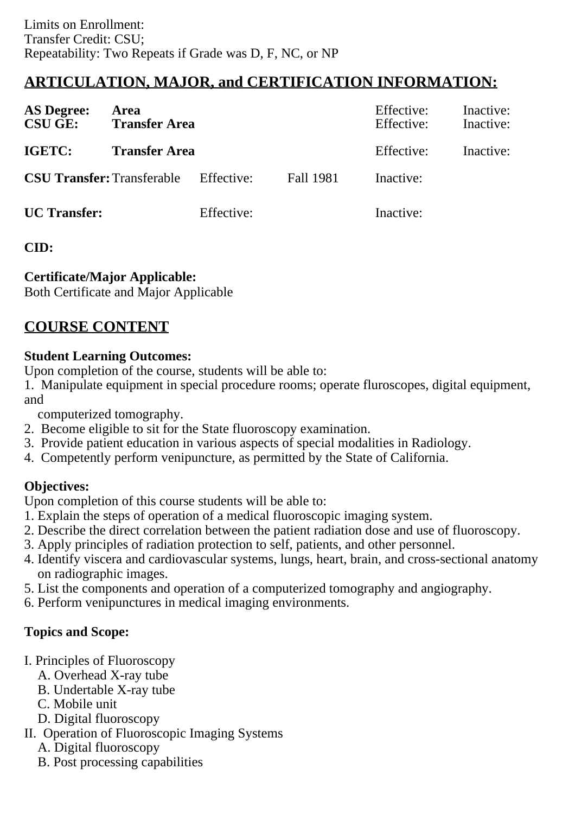# **ARTICULATION, MAJOR, and CERTIFICATION INFORMATION:**

| <b>AS Degree:</b><br><b>CSU GE:</b> | Area<br><b>Transfer Area</b> |            | Effective:<br>Effective: | Inactive:<br>Inactive: |           |
|-------------------------------------|------------------------------|------------|--------------------------|------------------------|-----------|
| IGETC:                              | <b>Transfer Area</b>         |            |                          | Effective:             | Inactive: |
| <b>CSU Transfer: Transferable</b>   |                              | Effective: | Fall 1981                | Inactive:              |           |
| <b>UC</b> Transfer:                 |                              | Effective: |                          | Inactive:              |           |

### **CID:**

### **Certificate/Major Applicable:**

[Both Certificate and Major Applicable](SR_ClassCheck.aspx?CourseKey=RADT66)

## **COURSE CONTENT**

#### **Student Learning Outcomes:**

Upon completion of the course, students will be able to:

1. Manipulate equipment in special procedure rooms; operate fluroscopes, digital equipment, and

computerized tomography.

- 2. Become eligible to sit for the State fluoroscopy examination.
- 3. Provide patient education in various aspects of special modalities in Radiology.
- 4. Competently perform venipuncture, as permitted by the State of California.

## **Objectives:**

Upon completion of this course students will be able to:

- 1. Explain the steps of operation of a medical fluoroscopic imaging system.
- 2. Describe the direct correlation between the patient radiation dose and use of fluoroscopy.
- 3. Apply principles of radiation protection to self, patients, and other personnel.
- 4. Identify viscera and cardiovascular systems, lungs, heart, brain, and cross-sectional anatomy on radiographic images.
- 5. List the components and operation of a computerized tomography and angiography.
- 6. Perform venipunctures in medical imaging environments.

## **Topics and Scope:**

- I. Principles of Fluoroscopy
	- A. Overhead X-ray tube
	- B. Undertable X-ray tube
	- C. Mobile unit
	- D. Digital fluoroscopy
- II. Operation of Fluoroscopic Imaging Systems
	- A. Digital fluoroscopy
	- B. Post processing capabilities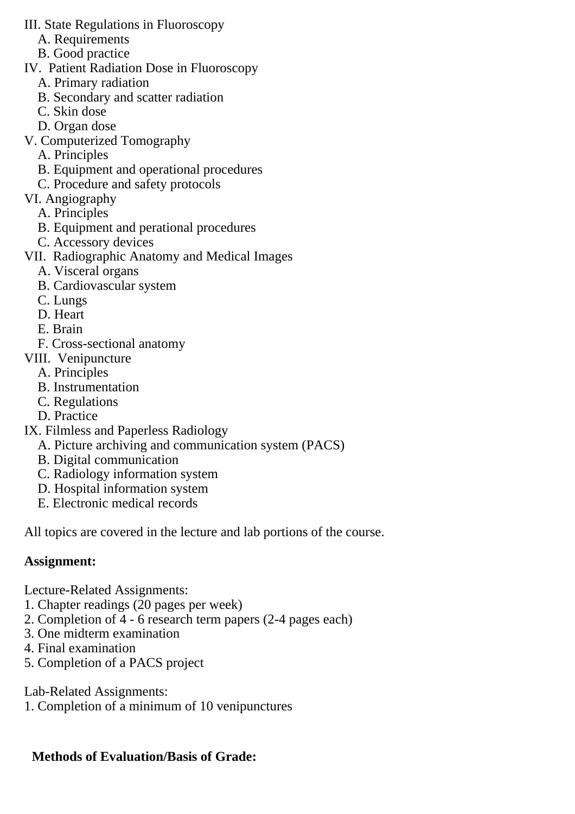- III. State Regulations in Fluoroscopy
	- A. Requirements
	- B. Good practice
- IV. Patient Radiation Dose in Fluoroscopy
	- A. Primary radiation
	- B. Secondary and scatter radiation
	- C. Skin dose
	- D. Organ dose
- V. Computerized Tomography
	- A. Principles
	- B. Equipment and operational procedures
	- C. Procedure and safety protocols
- VI. Angiography
	- A. Principles
	- B. Equipment and perational procedures
	- C. Accessory devices
- VII. Radiographic Anatomy and Medical Images
	- A. Visceral organs
	- B. Cardiovascular system
	- C. Lungs
	- D. Heart
	- E. Brain
	- F. Cross-sectional anatomy
- VIII. Venipuncture
	- A. Principles
	- B. Instrumentation
	- C. Regulations
	- D. Practice
- IX. Filmless and Paperless Radiology
	- A. Picture archiving and communication system (PACS)
	- B. Digital communication
	- C. Radiology information system
	- D. Hospital information system
	- E. Electronic medical records

All topics are covered in the lecture and lab portions of the course.

## **Assignment:**

Lecture-Related Assignments:

- 1. Chapter readings (20 pages per week)
- 2. Completion of 4 6 research term papers (2-4 pages each)
- 3. One midterm examination
- 4. Final examination
- 5. Completion of a PACS project

Lab-Related Assignments:

1. Completion of a minimum of 10 venipunctures

## **Methods of Evaluation/Basis of Grade:**